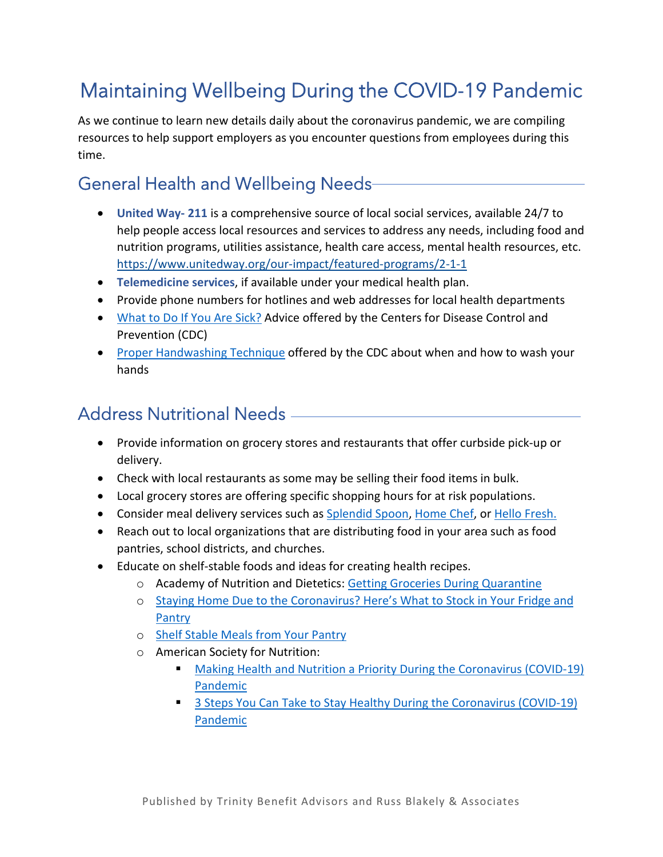# Maintaining Wellbeing During the COVID-19 Pandemic

As we continue to learn new details daily about the coronavirus pandemic, we are compiling resources to help support employers as you encounter questions from employees during this time.

### General Health and Wellbeing Needs

- **United Way- 211** is a comprehensive source of local social services, available 24/7 to help people access local resources and services to address any needs, including food and nutrition programs, utilities assistance, health care access, mental health resources, etc. <https://www.unitedway.org/our-impact/featured-programs/2-1-1>
- **Telemedicine services**, if available under your medical health plan.
- Provide phone numbers for hotlines and web addresses for local health departments
- [What to Do If You Are Sick?](https://www.cdc.gov/coronavirus/2019-ncov/downloads/sick-with-2019-nCoV-fact-sheet.pdf) Advice offered by the Centers for Disease Control and Prevention (CDC)
- [Proper Handwashing Technique](https://www.cdc.gov/handwashing/when-how-handwashing.html) offered by the CDC about when and how to wash your hands

### Address Nutritional Needs

- Provide information on grocery stores and restaurants that offer curbside pick-up or delivery.
- Check with local restaurants as some may be selling their food items in bulk.
- Local grocery stores are offering specific shopping hours for at risk populations.
- Consider meal delivery services such as [Splendid Spoon,](https://splendidspoon.com/) [Home Chef,](https://www.homechef.com/) or [Hello Fresh.](https://www.hellofresh.com/)
- Reach out to local organizations that are distributing food in your area such as food pantries, school districts, and churches.
- Educate on shelf-stable foods and ideas for creating health recipes.
	- o Academy of Nutrition and Dietetics: [Getting Groceries During Quarantine](https://www.eatright.org/food/planning-and-prep/smart-shopping/getting-groceries-during-quarantine)
	- o [Staying Home Due to the Coronavirus? Here's What to Stock in Your Fridge and](https://www.nbcnews.com/better/lifestyle/staying-home-due-coronavirus-here-s-what-stock-your-fridge-ncna1155791)  [Pantry](https://www.nbcnews.com/better/lifestyle/staying-home-due-coronavirus-here-s-what-stock-your-fridge-ncna1155791)
	- o [Shelf Stable Meals from Your Pantry](https://eatsmartmovemoreva.org/shelf-stable-meals-from-your-better-pantry/)
	- o American Society for Nutrition:
		- [Making Health and Nutrition a Priority During the Coronavirus \(COVID-19\)](https://nutrition.org/making-health-and-nutrition-a-priority-during-the-coronavirus-covid-19-pandemic/)  [Pandemic](https://nutrition.org/making-health-and-nutrition-a-priority-during-the-coronavirus-covid-19-pandemic/)
		- <sup>3</sup> 3 Steps You Can Take to Stay Healthy During the Coronavirus (COVID-19) [Pandemic](https://nutrition.org/making-health-and-nutrition-a-priority-during-the-coronavirus-covid-19-pandemic/)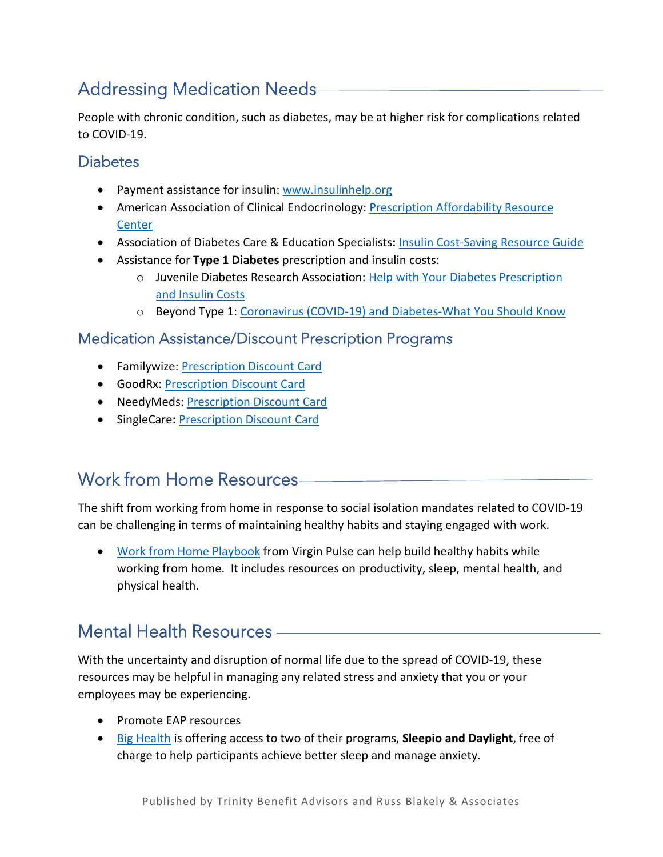# Addressing Medication Needs

People with chronic condition, such as diabetes, may be at higher risk for complications related to COVID-19.

### **Diabetes**

- Payment assistance for insulin: [www.insulinhelp.org](http://www.insulinhelp.org/)
- American Association of Clinical Endocrinology: Prescription Affordability Resource **[Center](http://prescriptionhelp.aace.com/)**
- Association of Diabetes Care & Education Specialists**:** [Insulin Cost-Saving Resource Guide](https://www.diabeteseducator.org/docs/default-source/practice/educator-tools/insulin-cost-saving-resources-3-4-19.pdf?sfvrsn=2)
- Assistance for **Type 1 Diabetes** prescription and insulin costs:
	- o Juvenile Diabetes Research Association: [Help with Your Diabetes Prescription](https://www.jdrf.org/t1d-resources/living-with-t1d/insurance/help-with-prescription-costs/)  [and Insulin Costs](https://www.jdrf.org/t1d-resources/living-with-t1d/insurance/help-with-prescription-costs/)
	- o Beyond Type 1: [Coronavirus \(COVID-19\) and Diabetes-What You Should Know](https://beyondtype1.org/coronavirus-and-type-1-diabetes/)

#### Medication Assistance/Discount Prescription Programs

- Familywize: [Prescription Discount Card](https://www.familywize.org/free-prescription-discount-card)
- GoodRx: [Prescription Discount Card](https://www.goodrx.com/discount-card)
- NeedyMeds[: Prescription Discount Card](https://www.needymeds.org/drug-discount-card)
- SingleCare**:** [Prescription Discount Card](https://www.singlecare.com/)

# Work from Home Resources

The shift from working from home in response to social isolation mandates related to COVID-19 can be challenging in terms of maintaining healthy habits and staying engaged with work.

• [Work from Home Playbook](https://cdn2.hubspot.net/hubfs/393154/_2020%20Content/Work-From-Home-Tip-Sheet.pdf) from Virgin Pulse can help build healthy habits while working from home. It includes resources on productivity, sleep, mental health, and physical health.

### Mental Health Resources

With the uncertainty and disruption of normal life due to the spread of COVID-19, these resources may be helpful in managing any related stress and anxiety that you or your employees may be experiencing.

- Promote EAP resources
- [Big Health](https://www.bighealth.com/) is offering access to two of their programs, **Sleepio and Daylight**, free of charge to help participants achieve better sleep and manage anxiety.